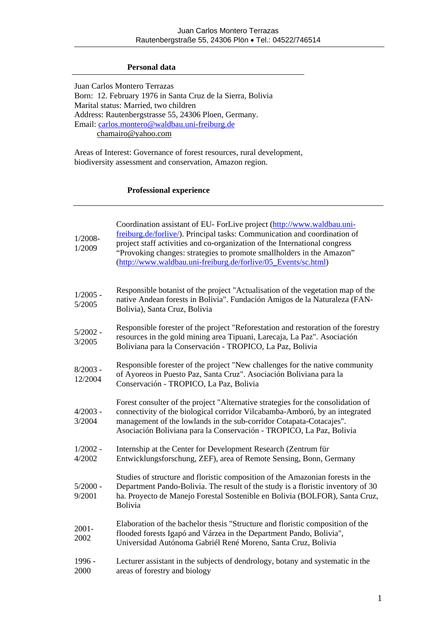## **Personal data**

Juan Carlos Montero Terrazas Born: 12. February 1976 in Santa Cruz de la Sierra, Bolivia Marital status: Married, two children Address: Rautenbergstrasse 55, 24306 Ploen, Germany. Email: [carlos.montero@waldbau.uni-freiburg.de](mailto:carlos.montero@waldbau.uni-freiburg.de) chamairo@yahoo.com

Areas of Interest: Governance of forest resources, rural development, biodiversity assessment and conservation, Amazon region.

# **Professional experience**

| $1/2008 -$<br>1/2009  | Coordination assistant of EU- ForLive project (http://www.waldbau.uni-<br>freiburg.de/forlive/). Principal tasks: Communication and coordination of<br>project staff activities and co-organization of the International congress<br>"Provoking changes: strategies to promote smallholders in the Amazon"<br>(http://www.waldbau.uni-freiburg.de/forlive/05_Events/sc.html) |
|-----------------------|------------------------------------------------------------------------------------------------------------------------------------------------------------------------------------------------------------------------------------------------------------------------------------------------------------------------------------------------------------------------------|
| $1/2005 -$<br>5/2005  | Responsible botanist of the project "Actualisation of the vegetation map of the<br>native Andean forests in Bolivia". Fundación Amigos de la Naturaleza (FAN-<br>Bolivia), Santa Cruz, Bolivia                                                                                                                                                                               |
| $5/2002 -$<br>3/2005  | Responsible forester of the project "Reforestation and restoration of the forestry<br>resources in the gold mining area Tipuani, Larecaja, La Paz". Asociación<br>Boliviana para la Conservación - TROPICO, La Paz, Bolivia                                                                                                                                                  |
| $8/2003 -$<br>12/2004 | Responsible forester of the project "New challenges for the native community<br>of Ayoreos in Puesto Paz, Santa Cruz". Asociación Boliviana para la<br>Conservación - TROPICO, La Paz, Bolivia                                                                                                                                                                               |
| $4/2003 -$<br>3/2004  | Forest consulter of the project "Alternative strategies for the consolidation of<br>connectivity of the biological corridor Vilcabamba-Amboró, by an integrated<br>management of the lowlands in the sub-corridor Cotapata-Cotacajes".<br>Asociación Boliviana para la Conservación - TROPICO, La Paz, Bolivia                                                               |
| $1/2002 -$<br>4/2002  | Internship at the Center for Development Research (Zentrum für<br>Entwicklungsforschung, ZEF), area of Remote Sensing, Bonn, Germany                                                                                                                                                                                                                                         |
| $5/2000 -$<br>9/2001  | Studies of structure and floristic composition of the Amazonian forests in the<br>Department Pando-Bolivia. The result of the study is a floristic inventory of 30<br>ha. Proyecto de Manejo Forestal Sostenible en Bolivia (BOLFOR), Santa Cruz,<br>Bolivia                                                                                                                 |
| $2001 -$<br>2002      | Elaboration of the bachelor thesis "Structure and floristic composition of the<br>flooded forests Igapó and Várzea in the Department Pando, Bolivia",<br>Universidad Autónoma Gabriél René Moreno, Santa Cruz, Bolivia                                                                                                                                                       |
| 1996 -<br>2000        | Lecturer assistant in the subjects of dendrology, botany and systematic in the<br>areas of forestry and biology                                                                                                                                                                                                                                                              |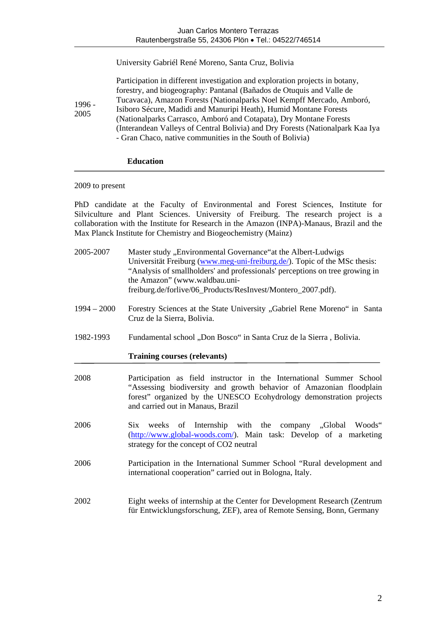### University Gabriél René Moreno, Santa Cruz, Bolivia

| $1996 -$<br>2005 | Participation in different investigation and exploration projects in botany,   |
|------------------|--------------------------------------------------------------------------------|
|                  | forestry, and biogeography: Pantanal (Bañados de Otuquis and Valle de          |
|                  | Tucavaca), Amazon Forests (Nationalparks Noel Kempff Mercado, Amboró,          |
|                  | Isiboro Sécure, Madidi and Manuripi Heath), Humid Montane Forests              |
|                  | (Nationalparks Carrasco, Amboró and Cotapata), Dry Montane Forests             |
|                  | (Interandean Valleys of Central Bolivia) and Dry Forests (Nationalpark Kaa Iya |
|                  | - Gran Chaco, native communities in the South of Bolivia)                      |

## **Education**

### 2009 to present

PhD candidate at the Faculty of Environmental and Forest Sciences, Institute for Silviculture and Plant Sciences. University of Freiburg. The research project is a collaboration with the Institute for Research in the Amazon (INPA)-Manaus, Brazil and the Max Planck Institute for Chemistry and Biogeochemistry (Mainz)

- 2005-2007 Master study "Environmental Governance" at the Albert-Ludwigs Universität Freiburg [\(www.meg-uni-freiburg.de/\)](http://www.meg-uni-freiburg.de/). Topic of the MSc thesis: "Analysis of smallholders' and professionals' perceptions on tree growing in the Amazon" (www.waldbau.unifreiburg.de/forlive/06\_Products/ResInvest/Montero\_2007.pdf).
- 1994 2000 Forestry Sciences at the State University "Gabriel Rene Moreno" in Santa Cruz de la Sierra, Bolivia.
- 1982-1993 Fundamental school "Don Bosco" in Santa Cruz de la Sierra , Bolivia.

### **Training courses (relevants)**

- 2008 Participation as field instructor in the International Summer School "Assessing biodiversity and growth behavior of Amazonian floodplain forest" organized by the UNESCO Ecohydrology demonstration projects and carried out in Manaus, Brazil
- 2006 Six weeks of Internship with the company "Global Woods" (<http://www.global-woods.com/>). Main task: Develop of a marketing strategy for the concept of CO2 neutral
- 2006 Participation in the International Summer School "Rural development and international cooperation" carried out in Bologna, Italy.
- 2002 Eight weeks of internship at the Center for Development Research (Zentrum für Entwicklungsforschung, ZEF), area of Remote Sensing, Bonn, Germany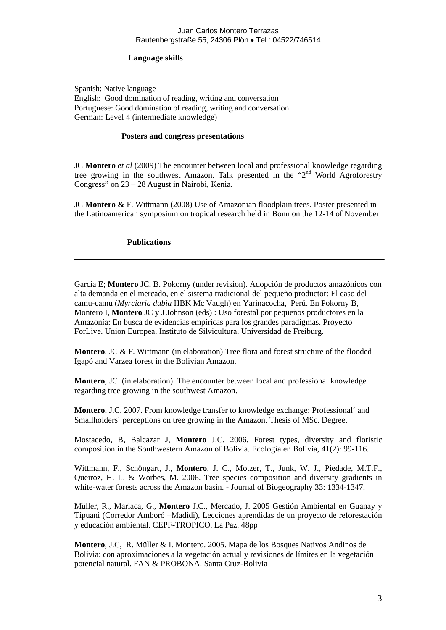## **Language skills**

Spanish: Native language English: Good domination of reading, writing and conversation Portuguese: Good domination of reading, writing and conversation German: Level 4 (intermediate knowledge)

#### **Posters and congress presentations**

JC **Montero** *et al* (2009) The encounter between local and professional knowledge regarding tree growing in the southwest Amazon. Talk presented in the "2<sup>nd</sup> World Agroforestry Congress" on 23 – 28 August in Nairobi, Kenia.

JC **Montero &** F. Wittmann (2008) Use of Amazonian floodplain trees. Poster presented in the Latinoamerican symposium on tropical research held in Bonn on the 12-14 of November

### **Publications**

García E; **Montero** JC, B. Pokorny (under revision). Adopción de productos amazónicos con alta demanda en el mercado, en el sistema tradicional del pequeño productor: El caso del camu-camu (*Myrciaria dubia* HBK Mc Vaugh) en Yarinacocha, Perú. En Pokorny B, Montero I, **Montero** JC y J Johnson (eds) : Uso forestal por pequeños productores en la Amazonía: En busca de evidencias empíricas para los grandes paradigmas. Proyecto ForLive. Union Europea, Instituto de Silvicultura, Universidad de Freiburg.

**Montero**, JC & F. Wittmann (in elaboration) Tree flora and forest structure of the flooded Igapó and Varzea forest in the Bolivian Amazon.

**Montero**, JC (in elaboration). The encounter between local and professional knowledge regarding tree growing in the southwest Amazon.

**Montero**, J.C. 2007. From knowledge transfer to knowledge exchange: Professional´ and Smallholders' perceptions on tree growing in the Amazon. Thesis of MSc. Degree.

Mostacedo, B, Balcazar J, **Montero** J.C. 2006. Forest types, diversity and floristic composition in the Southwestern Amazon of Bolivia. Ecología en Bolivia, 41(2): 99-116.

Wittmann, F., Schöngart, J., **Montero**, J. C., Motzer, T., Junk, W. J., Piedade, M.T.F., Queiroz, H. L. & Worbes, M. 2006. Tree species composition and diversity gradients in white-water forests across the Amazon basin. - Journal of Biogeography 33: 1334-1347.

Müller, R., Mariaca, G., **Montero** J.C., Mercado, J. 2005 Gestión Ambiental en Guanay y Tipuani (Corredor Amboró –Madidi), Lecciones aprendidas de un proyecto de reforestación y educación ambiental. CEPF-TROPICO. La Paz. 48pp

**Montero**, J.C, R. Müller & I. Montero. 2005. Mapa de los Bosques Nativos Andinos de Bolivia: con aproximaciones a la vegetación actual y revisiones de límites en la vegetación potencial natural. FAN & PROBONA. Santa Cruz-Bolivia